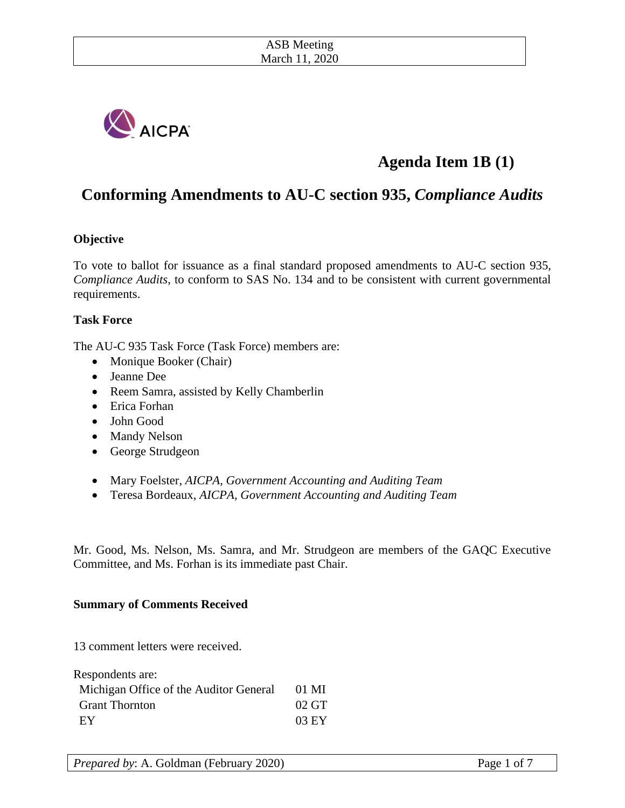

# **Agenda Item 1B (1)**

## **Conforming Amendments to AU-C section 935,** *Compliance Audits*

#### **Objective**

To vote to ballot for issuance as a final standard proposed amendments to AU-C section 935, *Compliance Audits*, to conform to SAS No. 134 and to be consistent with current governmental requirements.

#### **Task Force**

The AU-C 935 Task Force (Task Force) members are:

- Monique Booker (Chair)
- Jeanne Dee
- Reem Samra, assisted by Kelly Chamberlin
- Erica Forhan
- John Good
- Mandy Nelson
- George Strudgeon
- Mary Foelster, *AICPA, Government Accounting and Auditing Team*
- Teresa Bordeaux, *AICPA, Government Accounting and Auditing Team*

Mr. Good, Ms. Nelson, Ms. Samra, and Mr. Strudgeon are members of the GAQC Executive Committee, and Ms. Forhan is its immediate past Chair.

#### **Summary of Comments Received**

13 comment letters were received.

| Respondents are:                       |                    |
|----------------------------------------|--------------------|
| Michigan Office of the Auditor General | $01$ MI            |
| <b>Grant Thornton</b>                  | $02 \,\mathrm{GT}$ |
| EY                                     | 03 EY              |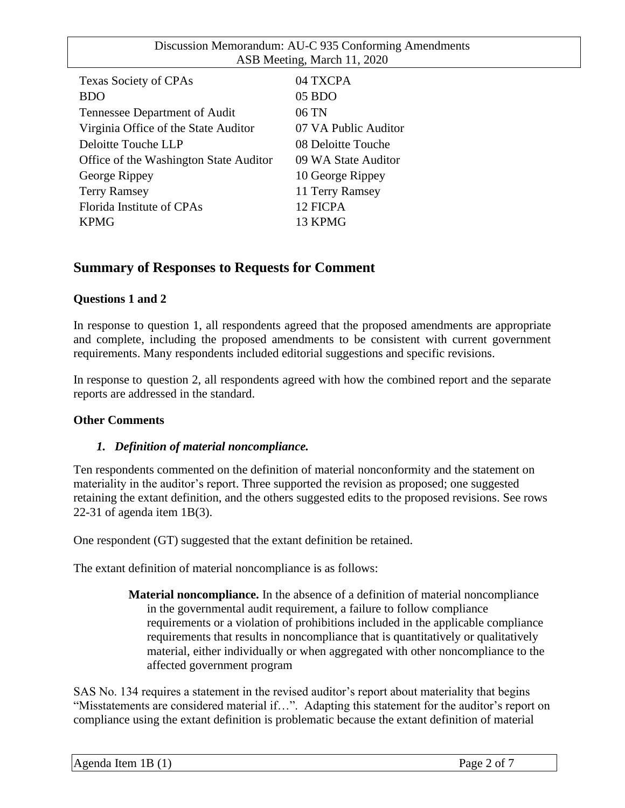| <b>Texas Society of CPAs</b>           | 04 TXCPA             |
|----------------------------------------|----------------------|
| <b>BDO</b>                             | 05 BDO               |
| Tennessee Department of Audit          | 06 TN                |
| Virginia Office of the State Auditor   | 07 VA Public Auditor |
| Deloitte Touche LLP                    | 08 Deloitte Touche   |
| Office of the Washington State Auditor | 09 WA State Auditor  |
| George Rippey                          | 10 George Rippey     |
| <b>Terry Ramsey</b>                    | 11 Terry Ramsey      |
| Florida Institute of CPAs              | 12 FICPA             |
| <b>KPMG</b>                            | 13 KPMG              |
|                                        |                      |

## **Summary of Responses to Requests for Comment**

#### **Questions 1 and 2**

In response to question 1, all respondents agreed that the proposed amendments are appropriate and complete, including the proposed amendments to be consistent with current government requirements. Many respondents included editorial suggestions and specific revisions.

In response to question 2, all respondents agreed with how the combined report and the separate reports are addressed in the standard.

#### **Other Comments**

#### *1. Definition of material noncompliance.*

Ten respondents commented on the definition of material nonconformity and the statement on materiality in the auditor's report. Three supported the revision as proposed; one suggested retaining the extant definition, and the others suggested edits to the proposed revisions. See rows 22-31 of agenda item 1B(3).

One respondent (GT) suggested that the extant definition be retained.

The extant definition of material noncompliance is as follows:

**Material noncompliance.** In the absence of a definition of material noncompliance in the governmental audit requirement, a failure to follow compliance requirements or a violation of prohibitions included in the applicable compliance requirements that results in noncompliance that is quantitatively or qualitatively material, either individually or when aggregated with other noncompliance to the affected government program

SAS No. 134 requires a statement in the revised auditor's report about materiality that begins "Misstatements are considered material if…". Adapting this statement for the auditor's report on compliance using the extant definition is problematic because the extant definition of material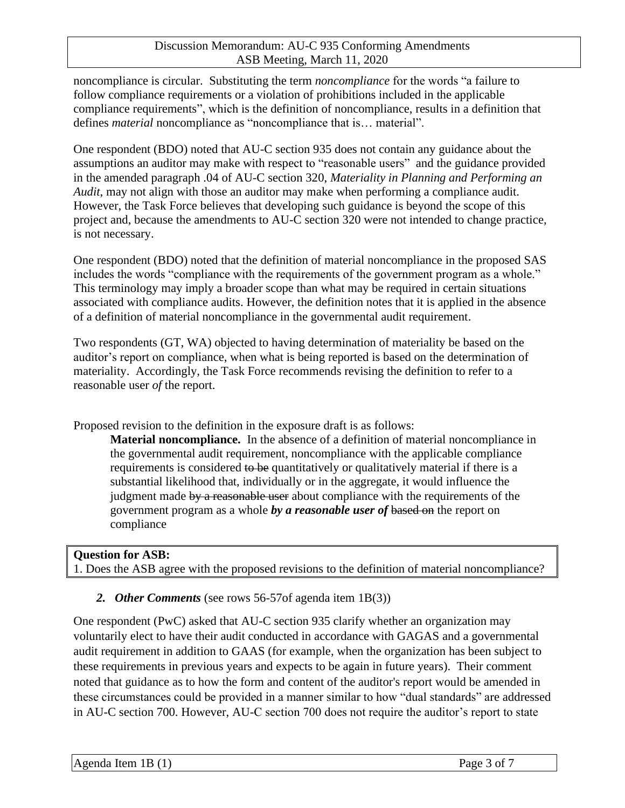noncompliance is circular. Substituting the term *noncompliance* for the words "a failure to follow compliance requirements or a violation of prohibitions included in the applicable compliance requirements", which is the definition of noncompliance, results in a definition that defines *material* noncompliance as "noncompliance that is… material".

One respondent (BDO) noted that AU-C section 935 does not contain any guidance about the assumptions an auditor may make with respect to "reasonable users" and the guidance provided in the amended paragraph .04 of AU-C section 320, *Materiality in Planning and Performing an Audit*, may not align with those an auditor may make when performing a compliance audit. However, the Task Force believes that developing such guidance is beyond the scope of this project and, because the amendments to AU-C section 320 were not intended to change practice, is not necessary.

One respondent (BDO) noted that the definition of material noncompliance in the proposed SAS includes the words "compliance with the requirements of the government program as a whole." This terminology may imply a broader scope than what may be required in certain situations associated with compliance audits. However, the definition notes that it is applied in the absence of a definition of material noncompliance in the governmental audit requirement.

Two respondents (GT, WA) objected to having determination of materiality be based on the auditor's report on compliance, when what is being reported is based on the determination of materiality. Accordingly, the Task Force recommends revising the definition to refer to a reasonable user *of* the report.

Proposed revision to the definition in the exposure draft is as follows:

**Material noncompliance.** In the absence of a definition of material noncompliance in the governmental audit requirement, noncompliance with the applicable compliance requirements is considered to be quantitatively or qualitatively material if there is a substantial likelihood that, individually or in the aggregate, it would influence the judgment made by a reasonable user about compliance with the requirements of the government program as a whole *by a reasonable user of* based on the report on compliance

**Question for ASB:** 1. Does the ASB agree with the proposed revisions to the definition of material noncompliance?

## *2. Other Comments* (see rows 56-57of agenda item 1B(3))

One respondent (PwC) asked that AU-C section 935 clarify whether an organization may voluntarily elect to have their audit conducted in accordance with GAGAS and a governmental audit requirement in addition to GAAS (for example, when the organization has been subject to these requirements in previous years and expects to be again in future years). Their comment noted that guidance as to how the form and content of the auditor's report would be amended in these circumstances could be provided in a manner similar to how "dual standards" are addressed in AU-C section 700. However, AU-C section 700 does not require the auditor's report to state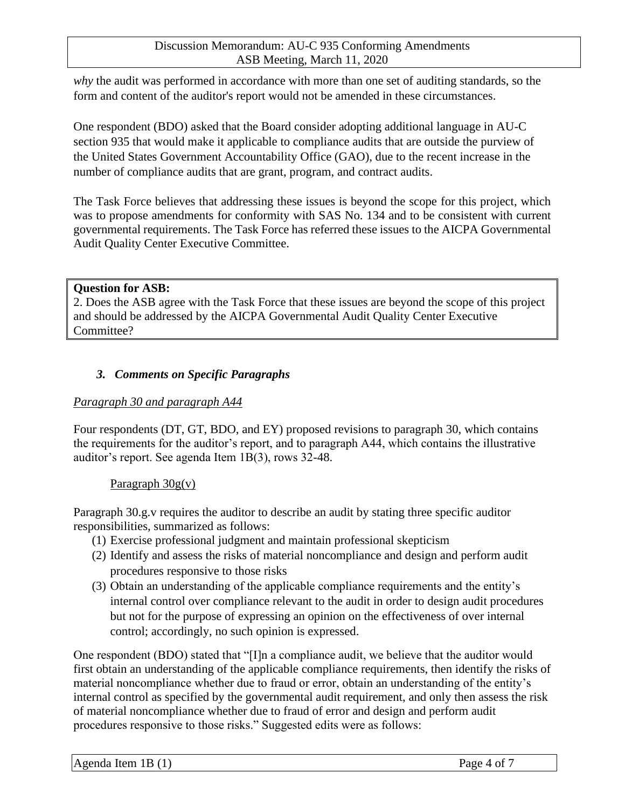*why* the audit was performed in accordance with more than one set of auditing standards, so the form and content of the auditor's report would not be amended in these circumstances.

One respondent (BDO) asked that the Board consider adopting additional language in AU-C section 935 that would make it applicable to compliance audits that are outside the purview of the United States Government Accountability Office (GAO), due to the recent increase in the number of compliance audits that are grant, program, and contract audits.

The Task Force believes that addressing these issues is beyond the scope for this project, which was to propose amendments for conformity with SAS No. 134 and to be consistent with current governmental requirements. The Task Force has referred these issues to the AICPA Governmental Audit Quality Center Executive Committee.

#### **Question for ASB:**

2. Does the ASB agree with the Task Force that these issues are beyond the scope of this project and should be addressed by the AICPA Governmental Audit Quality Center Executive Committee?

#### *3. Comments on Specific Paragraphs*

#### *Paragraph 30 and paragraph A44*

Four respondents (DT, GT, BDO, and EY) proposed revisions to paragraph 30, which contains the requirements for the auditor's report, and to paragraph A44, which contains the illustrative auditor's report. See agenda Item 1B(3), rows 32-48.

#### Paragraph 30g(v)

Paragraph 30.g.v requires the auditor to describe an audit by stating three specific auditor responsibilities, summarized as follows:

- (1) Exercise professional judgment and maintain professional skepticism
- (2) Identify and assess the risks of material noncompliance and design and perform audit procedures responsive to those risks
- (3) Obtain an understanding of the applicable compliance requirements and the entity's internal control over compliance relevant to the audit in order to design audit procedures but not for the purpose of expressing an opinion on the effectiveness of over internal control; accordingly, no such opinion is expressed.

One respondent (BDO) stated that "[I]n a compliance audit, we believe that the auditor would first obtain an understanding of the applicable compliance requirements, then identify the risks of material noncompliance whether due to fraud or error, obtain an understanding of the entity's internal control as specified by the governmental audit requirement, and only then assess the risk of material noncompliance whether due to fraud of error and design and perform audit procedures responsive to those risks." Suggested edits were as follows: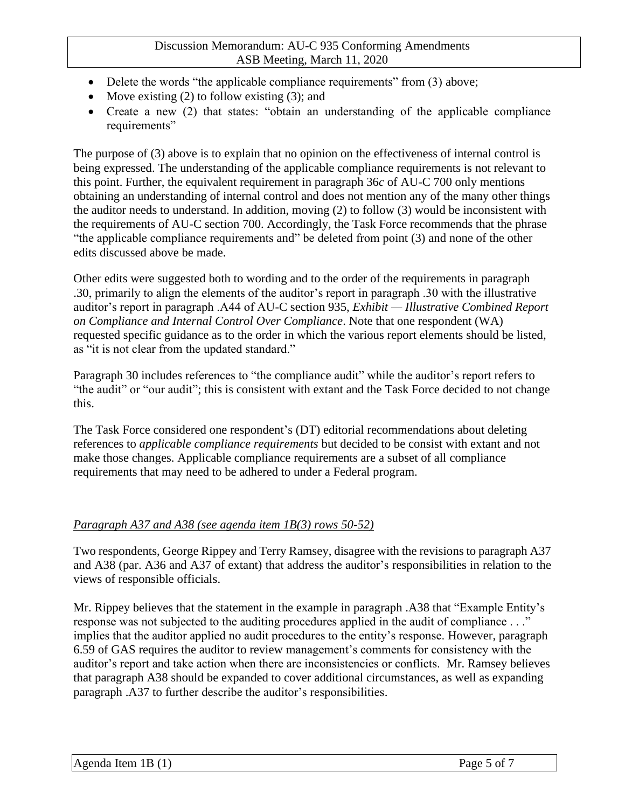- Delete the words "the applicable compliance requirements" from (3) above;
- Move existing  $(2)$  to follow existing  $(3)$ ; and
- Create a new (2) that states: "obtain an understanding of the applicable compliance requirements"

The purpose of (3) above is to explain that no opinion on the effectiveness of internal control is being expressed. The understanding of the applicable compliance requirements is not relevant to this point. Further, the equivalent requirement in paragraph 36*c* of AU-C 700 only mentions obtaining an understanding of internal control and does not mention any of the many other things the auditor needs to understand. In addition, moving (2) to follow (3) would be inconsistent with the requirements of AU-C section 700. Accordingly, the Task Force recommends that the phrase "the applicable compliance requirements and" be deleted from point (3) and none of the other edits discussed above be made.

Other edits were suggested both to wording and to the order of the requirements in paragraph .30, primarily to align the elements of the auditor's report in paragraph .30 with the illustrative auditor's report in paragraph .A44 of AU-C section 935, *Exhibit — Illustrative Combined Report on Compliance and Internal Control Over Compliance*. Note that one respondent (WA) requested specific guidance as to the order in which the various report elements should be listed, as "it is not clear from the updated standard."

Paragraph 30 includes references to "the compliance audit" while the auditor's report refers to "the audit" or "our audit"; this is consistent with extant and the Task Force decided to not change this.

The Task Force considered one respondent's (DT) editorial recommendations about deleting references to *applicable compliance requirements* but decided to be consist with extant and not make those changes. Applicable compliance requirements are a subset of all compliance requirements that may need to be adhered to under a Federal program.

## *Paragraph A37 and A38 (see agenda item 1B(3) rows 50-52)*

Two respondents, George Rippey and Terry Ramsey, disagree with the revisions to paragraph A37 and A38 (par. A36 and A37 of extant) that address the auditor's responsibilities in relation to the views of responsible officials.

Mr. Rippey believes that the statement in the example in paragraph .A38 that "Example Entity's response was not subjected to the auditing procedures applied in the audit of compliance . . ." implies that the auditor applied no audit procedures to the entity's response. However, paragraph 6.59 of GAS requires the auditor to review management's comments for consistency with the auditor's report and take action when there are inconsistencies or conflicts. Mr. Ramsey believes that paragraph A38 should be expanded to cover additional circumstances, as well as expanding paragraph .A37 to further describe the auditor's responsibilities.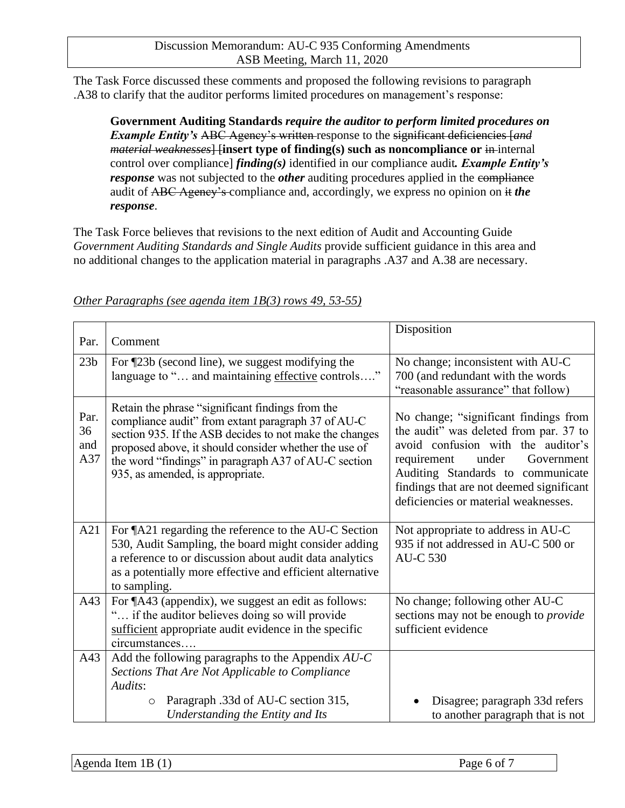The Task Force discussed these comments and proposed the following revisions to paragraph .A38 to clarify that the auditor performs limited procedures on management's response:

**Government Auditing Standards** *require the auditor to perform limited procedures on Example Entity's* ABC Agency's written response to the significant deficiencies [*and material weaknesses*] [insert type of finding(s) such as noncompliance or in-internal control over compliance] *finding(s)* identified in our compliance audit*. Example Entity's response* was not subjected to the *other* auditing procedures applied in the compliance audit of ABC Agency's compliance and, accordingly, we express no opinion on it *the response*.

The Task Force believes that revisions to the next edition of Audit and Accounting Guide *Government Auditing Standards and Single Audits* provide sufficient guidance in this area and no additional changes to the application material in paragraphs .A37 and A.38 are necessary.

| Par.                     | Comment                                                                                                                                                                                                                                                                                                                | Disposition                                                                                                                                                                                                                                                                          |
|--------------------------|------------------------------------------------------------------------------------------------------------------------------------------------------------------------------------------------------------------------------------------------------------------------------------------------------------------------|--------------------------------------------------------------------------------------------------------------------------------------------------------------------------------------------------------------------------------------------------------------------------------------|
| 23 <sub>b</sub>          | For ¶23b (second line), we suggest modifying the<br>language to " and maintaining effective controls"                                                                                                                                                                                                                  | No change; inconsistent with AU-C<br>700 (and redundant with the words<br>"reasonable assurance" that follow)                                                                                                                                                                        |
| Par.<br>36<br>and<br>A37 | Retain the phrase "significant findings from the<br>compliance audit" from extant paragraph 37 of AU-C<br>section 935. If the ASB decides to not make the changes<br>proposed above, it should consider whether the use of<br>the word "findings" in paragraph A37 of AU-C section<br>935, as amended, is appropriate. | No change; "significant findings from<br>the audit" was deleted from par. 37 to<br>avoid confusion with the auditor's<br>requirement<br>under<br>Government<br>Auditing Standards to communicate<br>findings that are not deemed significant<br>deficiencies or material weaknesses. |
| A21                      | For ¶A21 regarding the reference to the AU-C Section<br>530, Audit Sampling, the board might consider adding<br>a reference to or discussion about audit data analytics<br>as a potentially more effective and efficient alternative<br>to sampling.                                                                   | Not appropriate to address in AU-C<br>935 if not addressed in AU-C 500 or<br><b>AU-C 530</b>                                                                                                                                                                                         |
| A43                      | For ¶A43 (appendix), we suggest an edit as follows:<br>" if the auditor believes doing so will provide<br>sufficient appropriate audit evidence in the specific<br>circumstances                                                                                                                                       | No change; following other AU-C<br>sections may not be enough to <i>provide</i><br>sufficient evidence                                                                                                                                                                               |
| A43                      | Add the following paragraphs to the Appendix $AU-C$<br>Sections That Are Not Applicable to Compliance<br>Audits:<br>Paragraph .33d of AU-C section 315,<br>$\circ$<br>Understanding the Entity and Its                                                                                                                 | Disagree; paragraph 33d refers<br>to another paragraph that is not                                                                                                                                                                                                                   |

#### *Other Paragraphs (see agenda item 1B(3) rows 49, 53-55)*